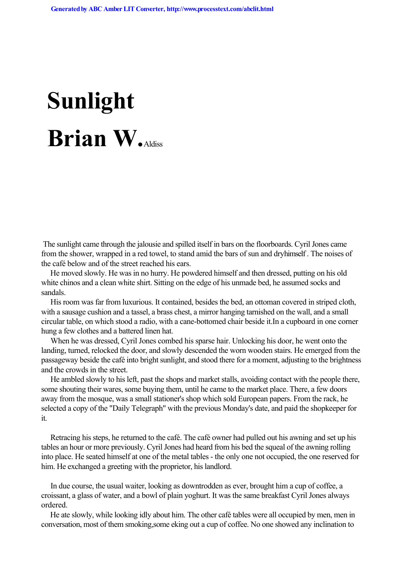## **Sunlight Brian W.**Aldiss

 The sunlight came through the jalousie and spilled itself in bars on the floorboards. Cyril Jones came from the shower, wrapped in a red towel, to stand amid the bars of sun and dryhimself . The noises of the café below and of the street reached his ears.

 He moved slowly. He was in no hurry. He powdered himself and then dressed, putting on his old white chinos and a clean white shirt. Sitting on the edge of his unmade bed, he assumed socks and sandals.

 His room was far from luxurious. It contained, besides the bed, an ottoman covered in striped cloth, with a sausage cushion and a tassel, a brass chest, a mirror hanging tarnished on the wall, and a small circular table, on which stood a radio, with a cane-bottomed chair beside it.In a cupboard in one corner hung a few clothes and a battered linen hat.

 When he was dressed, Cyril Jones combed his sparse hair. Unlocking his door, he went onto the landing, turned, relocked the door, and slowly descended the worn wooden stairs. He emerged from the passageway beside the café into bright sunlight, and stood there for a moment, adjusting to the brightness and the crowds in the street.

 He ambled slowly to his left, past the shops and market stalls, avoiding contact with the people there, some shouting their wares, some buying them, until he came to the market place. There, a few doors away from the mosque, was a small stationer's shop which sold European papers. From the rack, he selected a copy of the "Daily Telegraph" with the previous Monday's date, and paid the shopkeeper for it.

 Retracing his steps, he returned to the café. The café owner had pulled out his awning and set up his tables an hour or more previously. Cyril Jones had heard from his bed the squeal of the awning rolling into place. He seated himself at one of the metal tables - the only one not occupied, the one reserved for him. He exchanged a greeting with the proprietor, his landlord.

 In due course, the usual waiter, looking as downtrodden as ever, brought him a cup of coffee, a croissant, a glass of water, and a bowl of plain yoghurt. It was the same breakfast Cyril Jones always ordered.

 He ate slowly, while looking idly about him. The other café tables were all occupied by men, men in conversation, most of them smoking,some eking out a cup of coffee. No one showed any inclination to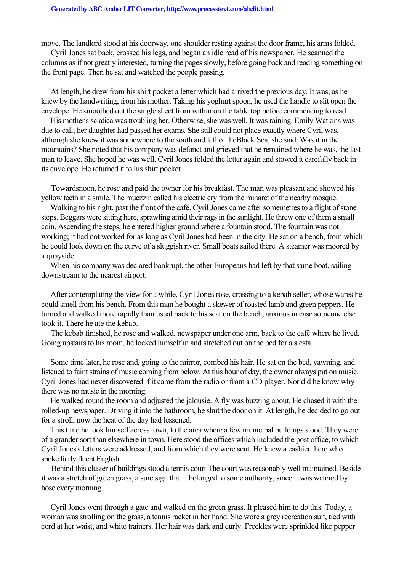move. The landlord stood at his doorway, one shoulder resting against the door frame, his arms folded.

 Cyril Jones sat back, crossed his legs, and began an idle read of his newspaper. He scanned the columns as if not greatly interested, turning the pages slowly, before going back and reading something on the front page. Then he sat and watched the people passing.

 At length, he drew from his shirt pocket a letter which had arrived the previous day. It was, as he knew by the handwriting, from his mother. Taking his yoghurt spoon, he used the handle to slit open the envelope. He smoothed out the single sheet from within on the table top before commencing to read.

 His mother's sciatica was troubling her. Otherwise, she was well. It was raining. Emily Watkins was due to call; her daughter had passed her exams. She still could not place exactly where Cyril was, although she knew it was somewhere to the south and left of theBlack Sea, she said. Was it in the mountains? She noted that his company was defunct and grieved that he remained where he was, the last man to leave. She hoped he was well. Cyril Jones folded the letter again and stowed it carefully back in its envelope. He returned it to his shirt pocket.

 Towardsnoon, he rose and paid the owner for his breakfast. The man was pleasant and showed his yellow teeth in a smile. The muezzin called his electric cry from the minaret of the nearby mosque.

 Walking to his right, past the front of the café, Cyril Jones came after somemetres to a flight of stone steps. Beggars were sitting here, sprawling amid their rags in the sunlight. He threw one of them a small coin. Ascending the steps, he entered higher ground where a fountain stood. The fountain was not working; it had not worked for as long as Cyril Jones had been in the city. He sat on a bench, from which he could look down on the curve of a sluggish river. Small boats sailed there. A steamer was moored by a quayside.

When his company was declared bankrupt, the other Europeans had left by that same boat, sailing downstream to the nearest airport.

 After contemplating the view for a while, Cyril Jones rose, crossing to a kebab seller, whose wares he could smell from his bench. From this man he bought a skewer of roasted lamb and green peppers. He turned and walked more rapidly than usual back to his seat on the bench, anxious in case someone else took it. There he ate the kebab.

 The kebab finished, he rose and walked, newspaper under one arm, back to the café where he lived. Going upstairs to his room, he locked himself in and stretched out on the bed for a siesta.

 Some time later, he rose and, going to the mirror, combed his hair. He sat on the bed, yawning, and listened to faint strains of music coming from below. At this hour of day, the owner always put on music. Cyril Jones had never discovered if it came from the radio or from a CD player. Nor did he know why there was no music in the morning.

 He walked round the room and adjusted the jalousie. A fly was buzzing about. He chased it with the rolled-up newspaper. Driving it into the bathroom, he shut the door on it. At length, he decided to go out for a stroll, now the heat of the day had lessened.

 This time he took himself across town, to the area where a few municipal buildings stood. They were of a grander sort than elsewhere in town. Here stood the offices which included the post office, to which Cyril Jones's letters were addressed, and from which they were sent. He knew a cashier there who spoke fairly fluent English.

 Behind this cluster of buildings stood a tennis court.The court was reasonably well maintained. Beside it was a stretch of green grass, a sure sign that it belonged to some authority, since it was watered by hose every morning.

 Cyril Jones went through a gate and walked on the green grass. It pleased him to do this. Today, a woman was strolling on the grass, a tennis racket in her hand. She wore a grey recreation suit, tied with cord at her waist, and white trainers. Her hair was dark and curly. Freckles were sprinkled like pepper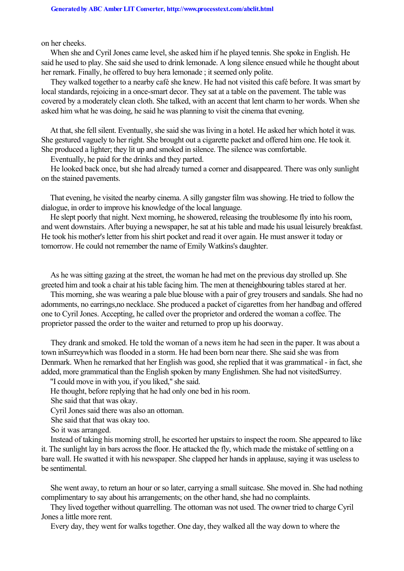on her cheeks.

 When she and Cyril Jones came level, she asked him if he played tennis. She spoke in English. He said he used to play. She said she used to drink lemonade. A long silence ensued while he thought about her remark. Finally, he offered to buy hera lemonade ; it seemed only polite.

 They walked together to a nearby café she knew. He had not visited this café before. It was smart by local standards, rejoicing in a once-smart decor. They sat at a table on the pavement. The table was covered by a moderately clean cloth. She talked, with an accent that lent charm to her words. When she asked him what he was doing, he said he was planning to visit the cinema that evening.

 At that, she fell silent. Eventually, she said she was living in a hotel. He asked her which hotel it was. She gestured vaguely to her right. She brought out a cigarette packet and offered him one. He took it. She produced a lighter; they lit up and smoked in silence. The silence was comfortable.

Eventually, he paid for the drinks and they parted.

 He looked back once, but she had already turned a corner and disappeared. There was only sunlight on the stained pavements.

 That evening, he visited the nearby cinema. A silly gangster film was showing. He tried to follow the dialogue, in order to improve his knowledge of the local language.

 He slept poorly that night. Next morning, he showered, releasing the troublesome fly into his room, and went downstairs. After buying a newspaper, he sat at his table and made his usual leisurely breakfast. He took his mother's letter from his shirt pocket and read it over again. He must answer it today or tomorrow. He could not remember the name of Emily Watkins's daughter.

 As he was sitting gazing at the street, the woman he had met on the previous day strolled up. She greeted him and took a chair at his table facing him. The men at theneighbouring tables stared at her.

 This morning, she was wearing a pale blue blouse with a pair of grey trousers and sandals. She had no adornments, no earrings,no necklace. She produced a packet of cigarettes from her handbag and offered one to Cyril Jones. Accepting, he called over the proprietor and ordered the woman a coffee. The proprietor passed the order to the waiter and returned to prop up his doorway.

 They drank and smoked. He told the woman of a news item he had seen in the paper. It was about a town inSurreywhich was flooded in a storm. He had been born near there. She said she was from Denmark. When he remarked that her English was good, she replied that it was grammatical - in fact, she added, more grammatical than the English spoken by many Englishmen. She had not visitedSurrey.

"I could move in with you, if you liked," she said.

He thought, before replying that he had only one bed in his room.

She said that that was okay.

Cyril Jones said there was also an ottoman.

She said that that was okay too.

So it was arranged.

 Instead of taking his morning stroll, he escorted her upstairs to inspect the room. She appeared to like it. The sunlight lay in bars across the floor. He attacked the fly, which made the mistake of settling on a bare wall. He swatted it with his newspaper. She clapped her hands in applause, saying it was useless to be sentimental.

 She went away, to return an hour or so later, carrying a small suitcase. She moved in. She had nothing complimentary to say about his arrangements; on the other hand, she had no complaints.

 They lived together without quarrelling. The ottoman was not used. The owner tried to charge Cyril Jones a little more rent.

Every day, they went for walks together. One day, they walked all the way down to where the